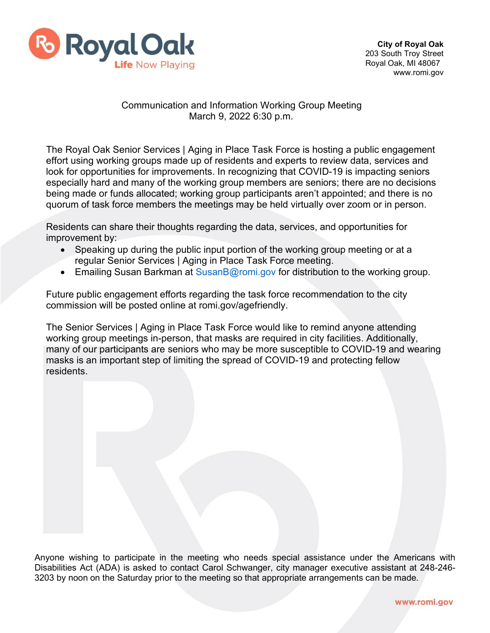

## Communication and Information Working Group Meeting March 9, 2022 6:30 p.m.

The Royal Oak Senior Services | Aging in Place Task Force is hosting a public engagement effort using working groups made up of residents and experts to review data, services and look for opportunities for improvements. In recognizing that COVID-19 is impacting seniors especially hard and many of the working group members are seniors; there are no decisions being made or funds allocated; working group participants aren't appointed; and there is no quorum of task force members the meetings may be held virtually over zoom or in person.

Residents can share their thoughts regarding the data, services, and opportunities for improvement by:

- Speaking up during the public input portion of the working group meeting or at a regular Senior Services | Aging in Place Task Force meeting.
- Emailing Susan Barkman at [SusanB@romi.gov f](mailto:SusanB@romi.gov)or distribution to the working group.

Future public engagement efforts regarding the task force recommendation to the city commission will be posted online at romi.gov/agefriendly.

The Senior Services | Aging in Place Task Force would like to remind anyone attending working group meetings in-person, that masks are required in city facilities. Additionally, many of our participants are seniors who may be more susceptible to COVID-19 and wearing masks is an important step of limiting the spread of COVID-19 and protecting fellow residents.

Anyone wishing to participate in the meeting who needs special assistance under the Americans with Disabilities Act (ADA) is asked to contact Carol Schwanger, city manager executive assistant at 248-246- 3203 by noon on the Saturday prior to the meeting so that appropriate arrangements can be made.